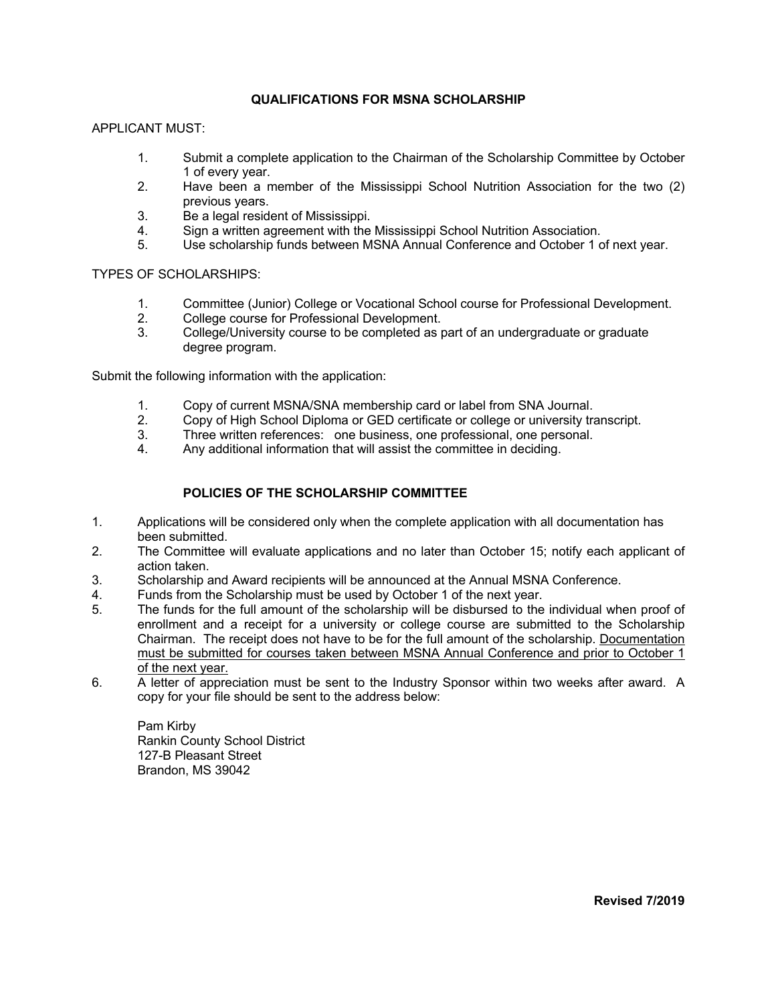## **QUALIFICATIONS FOR MSNA SCHOLARSHIP**

APPLICANT MUST:

- 1. Submit a complete application to the Chairman of the Scholarship Committee by October 1 of every year.
- 2. Have been a member of the Mississippi School Nutrition Association for the two (2) previous years.
- 3. Be a legal resident of Mississippi.
- 4. Sign a written agreement with the Mississippi School Nutrition Association.
- 5. Use scholarship funds between MSNA Annual Conference and October 1 of next year.

TYPES OF SCHOLARSHIPS:

- 1. Committee (Junior) College or Vocational School course for Professional Development.
- 2. College course for Professional Development.
- 3. College/University course to be completed as part of an undergraduate or graduate degree program.

Submit the following information with the application:

- 1. Copy of current MSNA/SNA membership card or label from SNA Journal.
- 2. Copy of High School Diploma or GED certificate or college or university transcript.<br>3. Three written references: one business, one professional, one personal.
- Three written references: one business, one professional, one personal.
- 4. Any additional information that will assist the committee in deciding.

## **POLICIES OF THE SCHOLARSHIP COMMITTEE**

- 1. Applications will be considered only when the complete application with all documentation has been submitted.
- 2. The Committee will evaluate applications and no later than October 15; notify each applicant of action taken.
- 3. Scholarship and Award recipients will be announced at the Annual MSNA Conference.
- 4. Funds from the Scholarship must be used by October 1 of the next year.
- 5. The funds for the full amount of the scholarship will be disbursed to the individual when proof of enrollment and a receipt for a university or college course are submitted to the Scholarship Chairman. The receipt does not have to be for the full amount of the scholarship. Documentation must be submitted for courses taken between MSNA Annual Conference and prior to October 1 of the next year.
- 6. A letter of appreciation must be sent to the Industry Sponsor within two weeks after award. A copy for your file should be sent to the address below:

Pam Kirby Rankin County School District 127-B Pleasant Street Brandon, MS 39042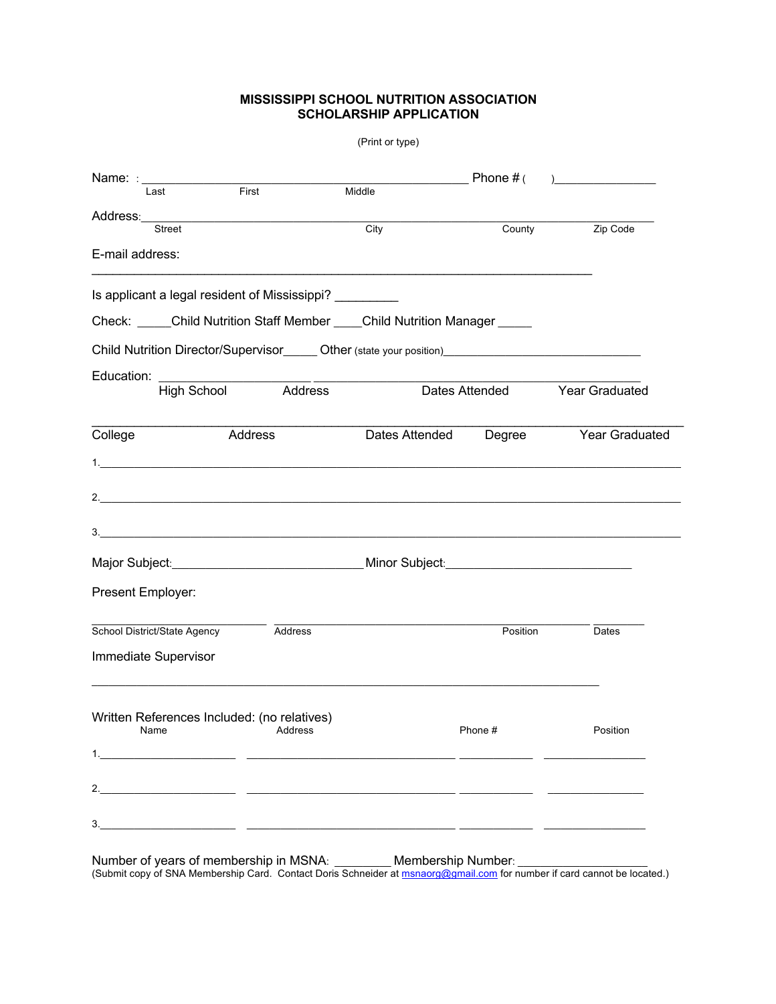## **MISSISSIPPI SCHOOL NUTRITION ASSOCIATION SCHOLARSHIP APPLICATION**

|                                                                                                      |                | (Print or type) |             |                                       |
|------------------------------------------------------------------------------------------------------|----------------|-----------------|-------------|---------------------------------------|
| Name: : _________________<br>$\frac{1}{\text{First}}$<br>Last                                        |                | Middle          | Phone $#$ ( | <u> 1980 - Johann Barbara, martxa</u> |
| <b>Street</b>                                                                                        |                | City            | County      | Zip Code                              |
| E-mail address:                                                                                      |                |                 |             |                                       |
| Is applicant a legal resident of Mississippi?                                                        |                |                 |             |                                       |
| Check: _____Child Nutrition Staff Member ____Child Nutrition Manager _____                           |                |                 |             |                                       |
| Child Nutrition Director/Supervisor_______Other (state your position)_______________________________ |                |                 |             |                                       |
| Education:<br>High School                                                                            | Address        |                 |             | Dates Attended Year Graduated         |
| College<br>Address                                                                                   |                | Dates Attended  | Degree      | Year Graduated                        |
|                                                                                                      |                |                 |             |                                       |
|                                                                                                      |                |                 |             |                                       |
| 3.                                                                                                   |                |                 |             |                                       |
| Major Subject: _________________________________Minor Subject: __________________                    |                |                 |             |                                       |
| Present Employer:                                                                                    |                |                 |             |                                       |
| School District/State Agency                                                                         | Address        |                 | Position    | Dates                                 |
| Immediate Supervisor                                                                                 |                |                 |             |                                       |
| Written References Included: (no relatives)                                                          |                |                 |             |                                       |
| Name                                                                                                 | <b>Address</b> |                 | Phone #     | Position                              |
|                                                                                                      |                |                 |             |                                       |
|                                                                                                      |                |                 |             |                                       |
| 3.<br><u> 1989 - Johann John Barn, mars an deus an deus Frankrik (f. 1989)</u>                       |                |                 |             |                                       |
|                                                                                                      |                |                 |             |                                       |

Number of years of membership in MSNA: \_\_\_\_\_\_\_\_\_ Membership Number: \_\_\_\_\_\_\_\_\_\_\_\_\_ (Submit copy of SNA Membership Card. Contact Doris Schneider at msnaorg@gmail.com for number if card cannot be located.)